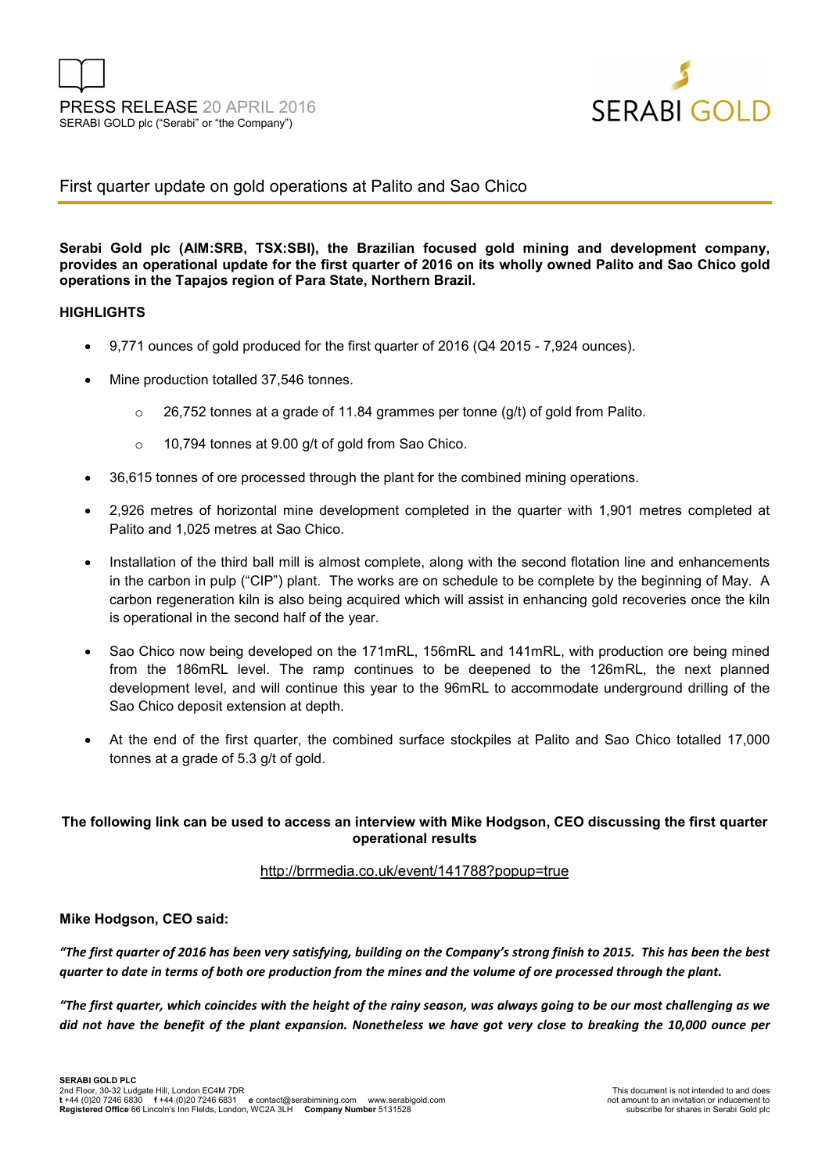

## First quarter update on gold operations at Palito and Sao Chico

**Serabi Gold plc (AIM:SRB, TSX:SBI), the Brazilian focused gold mining and development company, provides an operational update for the first quarter of 2016 on its wholly owned Palito and Sao Chico gold operations in the Tapajos region of Para State, Northern Brazil.** 

#### **HIGHLIGHTS**

- 9,771 ounces of gold produced for the first quarter of 2016 (Q4 2015 7,924 ounces).
- Mine production totalled 37,546 tonnes.
	- o 26,752 tonnes at a grade of 11.84 grammes per tonne (g/t) of gold from Palito.
	- o 10,794 tonnes at 9.00 g/t of gold from Sao Chico.
- 36,615 tonnes of ore processed through the plant for the combined mining operations.
- 2,926 metres of horizontal mine development completed in the quarter with 1,901 metres completed at Palito and 1,025 metres at Sao Chico.
- Installation of the third ball mill is almost complete, along with the second flotation line and enhancements in the carbon in pulp ("CIP") plant. The works are on schedule to be complete by the beginning of May. A carbon regeneration kiln is also being acquired which will assist in enhancing gold recoveries once the kiln is operational in the second half of the year.
- Sao Chico now being developed on the 171mRL, 156mRL and 141mRL, with production ore being mined from the 186mRL level. The ramp continues to be deepened to the 126mRL, the next planned development level, and will continue this year to the 96mRL to accommodate underground drilling of the Sao Chico deposit extension at depth.
- At the end of the first quarter, the combined surface stockpiles at Palito and Sao Chico totalled 17,000 tonnes at a grade of 5.3 g/t of gold.

#### **The following link can be used to access an interview with Mike Hodgson, CEO discussing the first quarter operational results**

#### http://brrmedia.co.uk/event/141788?popup=true

#### **Mike Hodgson, CEO said:**

*"The first quarter of 2016 has been very satisfying, building on the Company's strong finish to 2015. This has been the best quarter to date in terms of both ore production from the mines and the volume of ore processed through the plant.* 

*"The first quarter, which coincides with the height of the rainy season, was always going to be our most challenging as we did not have the benefit of the plant expansion. Nonetheless we have got very close to breaking the 10,000 ounce per*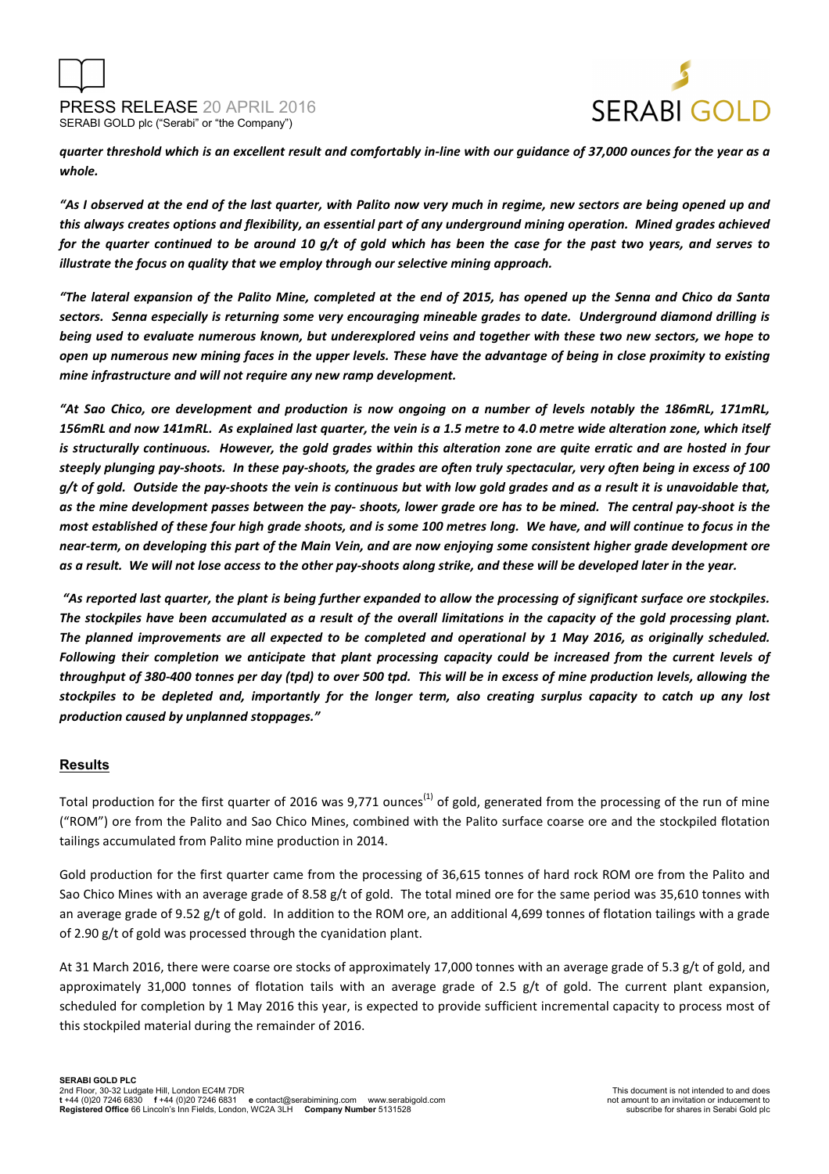PRESS RELEASE 20 APRIL 2016 SERABI GOLD plc ("Serabi" or "the Company")



*quarter threshold which is an excellent result and comfortably in-line with our guidance of 37,000 ounces for the year as a whole.* 

*"As I observed at the end of the last quarter, with Palito now very much in regime, new sectors are being opened up and this always creates options and flexibility, an essential part of any underground mining operation. Mined grades achieved for the quarter continued to be around 10 g/t of gold which has been the case for the past two years, and serves to illustrate the focus on quality that we employ through our selective mining approach.* 

*"The lateral expansion of the Palito Mine, completed at the end of 2015, has opened up the Senna and Chico da Santa sectors. Senna especially is returning some very encouraging mineable grades to date. Underground diamond drilling is being used to evaluate numerous known, but underexplored veins and together with these two new sectors, we hope to open up numerous new mining faces in the upper levels. These have the advantage of being in close proximity to existing mine infrastructure and will not require any new ramp development.* 

*"At Sao Chico, ore development and production is now ongoing on a number of levels notably the 186mRL, 171mRL, 156mRL and now 141mRL. As explained last quarter, the vein is a 1.5 metre to 4.0 metre wide alteration zone, which itself is structurally continuous. However, the gold grades within this alteration zone are quite erratic and are hosted in four steeply plunging pay-shoots. In these pay-shoots, the grades are often truly spectacular, very often being in excess of 100 g/t of gold. Outside the pay-shoots the vein is continuous but with low gold grades and as a result it is unavoidable that, as the mine development passes between the pay- shoots, lower grade ore has to be mined. The central pay-shoot is the most established of these four high grade shoots, and is some 100 metres long. We have, and will continue to focus in the near-term, on developing this part of the Main Vein, and are now enjoying some consistent higher grade development ore as a result. We will not lose access to the other pay-shoots along strike, and these will be developed later in the year.* 

 *"As reported last quarter, the plant is being further expanded to allow the processing of significant surface ore stockpiles. The stockpiles have been accumulated as a result of the overall limitations in the capacity of the gold processing plant. The planned improvements are all expected to be completed and operational by 1 May 2016, as originally scheduled. Following their completion we anticipate that plant processing capacity could be increased from the current levels of throughput of 380-400 tonnes per day (tpd) to over 500 tpd. This will be in excess of mine production levels, allowing the stockpiles to be depleted and, importantly for the longer term, also creating surplus capacity to catch up any lost production caused by unplanned stoppages."* 

## **Results**

Total production for the first quarter of 2016 was 9,771 ounces<sup>(1)</sup> of gold, generated from the processing of the run of mine ("ROM") ore from the Palito and Sao Chico Mines, combined with the Palito surface coarse ore and the stockpiled flotation tailings accumulated from Palito mine production in 2014.

Gold production for the first quarter came from the processing of 36,615 tonnes of hard rock ROM ore from the Palito and Sao Chico Mines with an average grade of 8.58 g/t of gold. The total mined ore for the same period was 35,610 tonnes with an average grade of 9.52 g/t of gold. In addition to the ROM ore, an additional 4,699 tonnes of flotation tailings with a grade of 2.90 g/t of gold was processed through the cyanidation plant.

At 31 March 2016, there were coarse ore stocks of approximately 17,000 tonnes with an average grade of 5.3 g/t of gold, and approximately 31,000 tonnes of flotation tails with an average grade of 2.5 g/t of gold. The current plant expansion, scheduled for completion by 1 May 2016 this year, is expected to provide sufficient incremental capacity to process most of this stockpiled material during the remainder of 2016.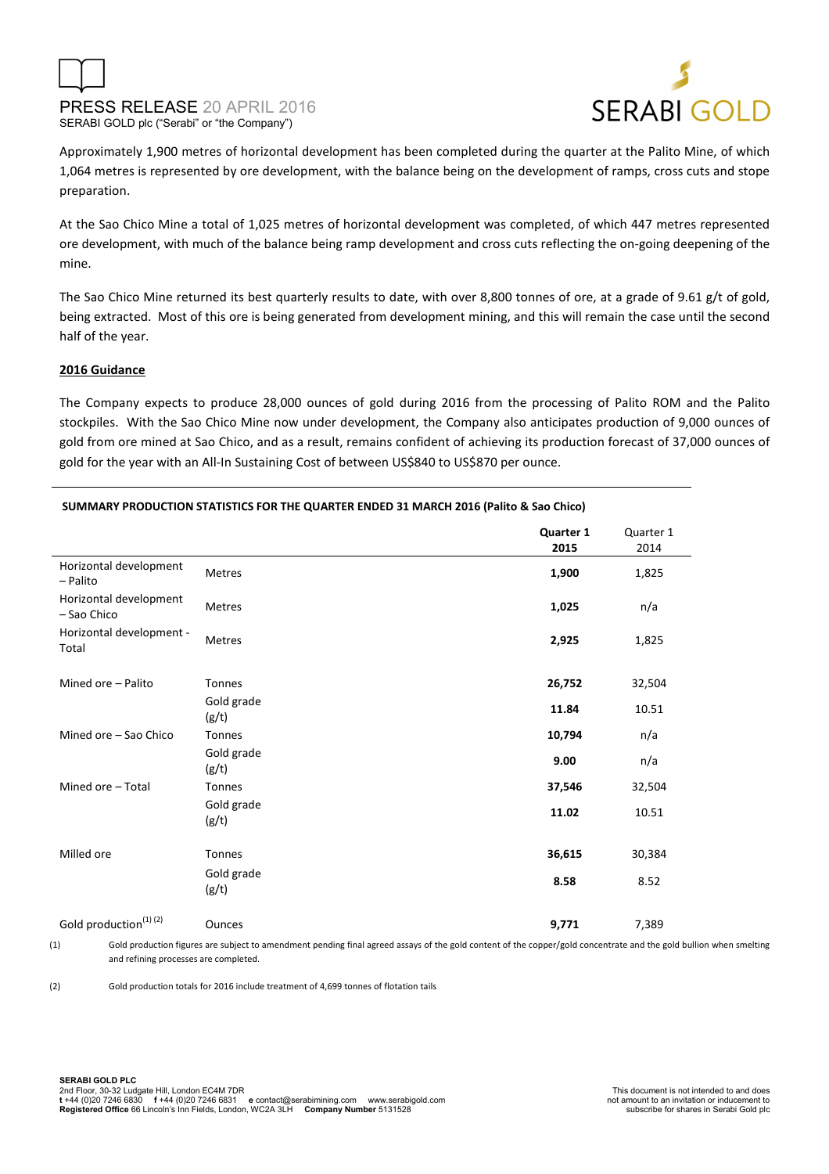



Approximately 1,900 metres of horizontal development has been completed during the quarter at the Palito Mine, of which 1,064 metres is represented by ore development, with the balance being on the development of ramps, cross cuts and stope preparation.

At the Sao Chico Mine a total of 1,025 metres of horizontal development was completed, of which 447 metres represented ore development, with much of the balance being ramp development and cross cuts reflecting the on-going deepening of the mine.

The Sao Chico Mine returned its best quarterly results to date, with over 8,800 tonnes of ore, at a grade of 9.61 g/t of gold, being extracted. Most of this ore is being generated from development mining, and this will remain the case until the second half of the year.

#### **2016 Guidance**

The Company expects to produce 28,000 ounces of gold during 2016 from the processing of Palito ROM and the Palito stockpiles. With the Sao Chico Mine now under development, the Company also anticipates production of 9,000 ounces of gold from ore mined at Sao Chico, and as a result, remains confident of achieving its production forecast of 37,000 ounces of gold for the year with an All-In Sustaining Cost of between US\$840 to US\$870 per ounce.

|                                       |                     | Quarter 1<br>2015 | Quarter 1<br>2014 |
|---------------------------------------|---------------------|-------------------|-------------------|
| Horizontal development<br>- Palito    | Metres              | 1,900             | 1,825             |
| Horizontal development<br>- Sao Chico | Metres              | 1,025             | n/a               |
| Horizontal development -<br>Total     | <b>Metres</b>       | 2,925             | 1,825             |
| Mined ore - Palito                    | Tonnes              | 26,752            | 32,504            |
|                                       | Gold grade<br>(g/t) | 11.84             | 10.51             |
| Mined ore - Sao Chico                 | Tonnes              | 10,794            | n/a               |
|                                       | Gold grade<br>(g/t) | 9.00              | n/a               |
| Mined ore - Total                     | Tonnes              | 37,546            | 32,504            |
|                                       | Gold grade<br>(g/t) | 11.02             | 10.51             |
| Milled ore                            | Tonnes              | 36,615            | 30,384            |
|                                       | Gold grade<br>(g/t) | 8.58              | 8.52              |
| Gold production <sup>(1)(2)</sup>     | <b>Ounces</b>       | 9,771             | 7,389             |

 **SUMMARY PRODUCTION STATISTICS FOR THE QUARTER ENDED 31 MARCH 2016 (Palito & Sao Chico)** 

(1) Gold production figures are subject to amendment pending final agreed assays of the gold content of the copper/gold concentrate and the gold bullion when smelting and refining processes are completed.

(2) Gold production totals for 2016 include treatment of 4,699 tonnes of flotation tails